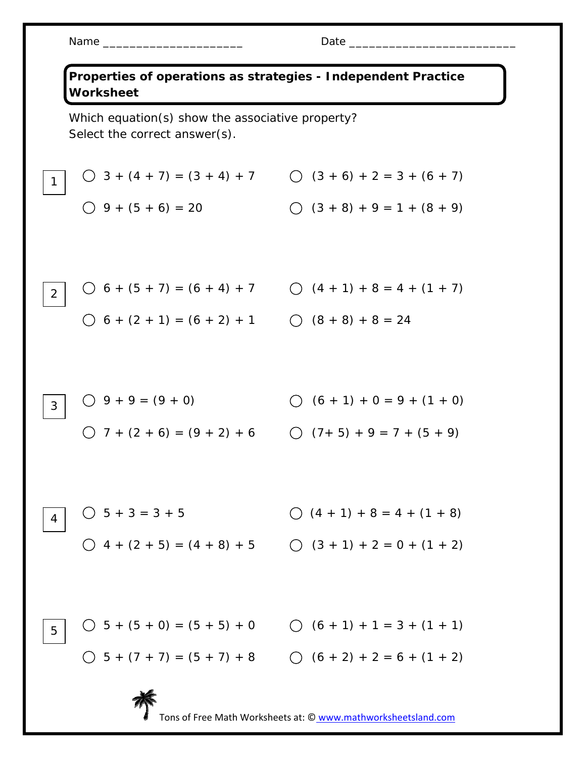2

## Name \_\_\_\_\_\_\_\_\_\_\_\_\_\_\_\_\_\_\_\_\_ Date \_\_\_\_\_\_\_\_\_\_\_\_\_\_\_\_\_\_\_\_\_\_\_\_\_

**Properties of operations as strategies - Independent Practice Worksheet**  Which equation(s) show the associative property? Select the correct answer(s).

$$
\begin{array}{c|cccc}\n1 & 0 & 3 + (4 + 7) = (3 + 4) + 7 & 0 & (3 + 6) + 2 = 3 + (6 + 7) \\
& 0 & 9 + (5 + 6) = 20 & 0 & (3 + 8) + 9 = 1 + (8 + 9)\n\end{array}
$$

$$
\bigcirc 6 + (5 + 7) = (6 + 4) + 7 \qquad \bigcirc (4 + 1) + 8 = 4 + (1 + 7)
$$
  

$$
\bigcirc 6 + (2 + 1) = (6 + 2) + 1 \qquad \bigcirc (8 + 8) + 8 = 24
$$

9 + 9 = (9 + 0) (6 + 1) + 0 = 9 + (1 + 0) 7 + (2 + 6) = (9 + 2) + 6 (7+ 5) + 9 = 7 + (5 + 9) 3

 $\bigcirc$  5 + 3 = 3 + 5  $\bigcirc$  (4 + 1) + 8 = 4 + (1 + 8)  $\bigcirc$  4 + (2 + 5) = (4 + 8) + 5  $\bigcirc$  (3 + 1) + 2 = 0 + (1 + 2) 4

5 + (5 + 0) = (5 + 5) + 0 (6 + 1) + 1 = 3 + (1 + 1) 5 + (7 + 7) = (5 + 7) + 8 (6 + 2) + 2 = 6 + (1 + 2) 5



Tons of Free Math Worksheets at: © www.mathworksheetsland.com